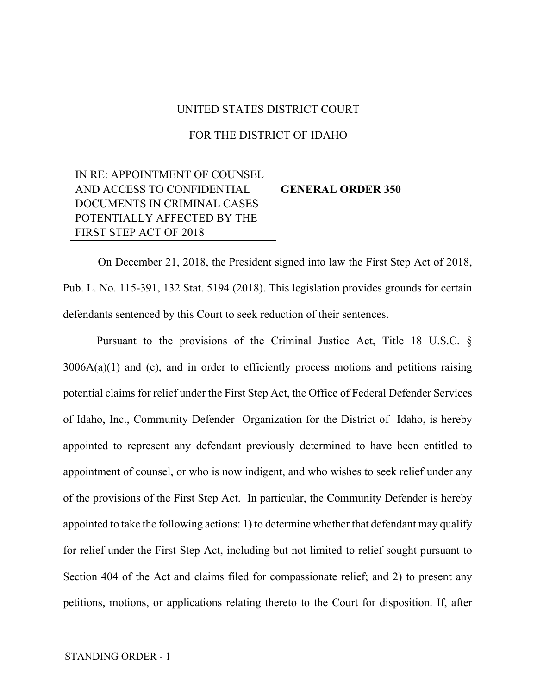## UNITED STATES DISTRICT COURT

## FOR THE DISTRICT OF IDAHO

## IN RE: APPOINTMENT OF COUNSEL AND ACCESS TO CONFIDENTIAL DOCUMENTS IN CRIMINAL CASES POTENTIALLY AFFECTED BY THE FIRST STEP ACT OF 2018

## **GENERAL ORDER 350**

On December 21, 2018, the President signed into law the First Step Act of 2018, Pub. L. No. 115-391, 132 Stat. 5194 (2018). This legislation provides grounds for certain defendants sentenced by this Court to seek reduction of their sentences.

Pursuant to the provisions of the Criminal Justice Act, Title 18 U.S.C. §  $3006A(a)(1)$  and (c), and in order to efficiently process motions and petitions raising potential claims for relief under the First Step Act, the Office of Federal Defender Services of Idaho, Inc., Community Defender Organization for the District of Idaho, is hereby appointed to represent any defendant previously determined to have been entitled to appointment of counsel, or who is now indigent, and who wishes to seek relief under any of the provisions of the First Step Act. In particular, the Community Defender is hereby appointed to take the following actions: 1) to determine whether that defendant may qualify for relief under the First Step Act, including but not limited to relief sought pursuant to Section 404 of the Act and claims filed for compassionate relief; and 2) to present any petitions, motions, or applications relating thereto to the Court for disposition. If, after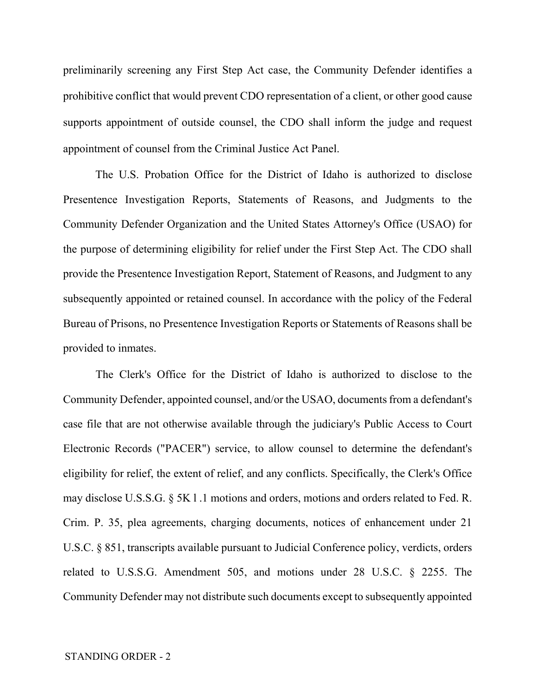preliminarily screening any First Step Act case, the Community Defender identifies a prohibitive conflict that would prevent CDO representation of a client, or other good cause supports appointment of outside counsel, the CDO shall inform the judge and request appointment of counsel from the Criminal Justice Act Panel.

The U.S. Probation Office for the District of Idaho is authorized to disclose Presentence Investigation Reports, Statements of Reasons, and Judgments to the Community Defender Organization and the United States Attorney's Office (USAO) for the purpose of determining eligibility for relief under the First Step Act. The CDO shall provide the Presentence Investigation Report, Statement of Reasons, and Judgment to any subsequently appointed or retained counsel. In accordance with the policy of the Federal Bureau of Prisons, no Presentence Investigation Reports or Statements of Reasons shall be provided to inmates.

The Clerk's Office for the District of Idaho is authorized to disclose to the Community Defender, appointed counsel, and/or the USAO, documents from a defendant's case file that are not otherwise available through the judiciary's Public Access to Court Electronic Records ("PACER") service, to allow counsel to determine the defendant's eligibility for relief, the extent of relief, and any conflicts. Specifically, the Clerk's Office may disclose U.S.S.G. § 5K l .1 motions and orders, motions and orders related to Fed. R. Crim. P. 35, plea agreements, charging documents, notices of enhancement under 21 U.S.C. § 851, transcripts available pursuant to Judicial Conference policy, verdicts, orders related to U.S.S.G. Amendment 505, and motions under 28 U.S.C. § 2255. The Community Defender may not distribute such documents except to subsequently appointed